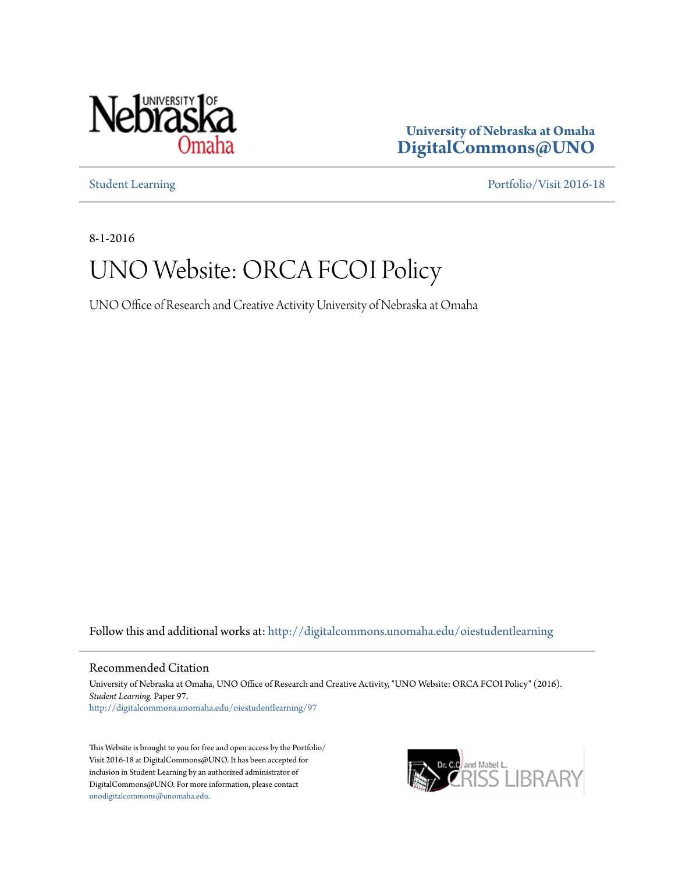

**University of Nebraska at Omaha [DigitalCommons@UNO](http://digitalcommons.unomaha.edu?utm_source=digitalcommons.unomaha.edu%2Foiestudentlearning%2F97&utm_medium=PDF&utm_campaign=PDFCoverPages)**

[Student Learning](http://digitalcommons.unomaha.edu/oiestudentlearning?utm_source=digitalcommons.unomaha.edu%2Foiestudentlearning%2F97&utm_medium=PDF&utm_campaign=PDFCoverPages) [Portfolio/Visit 2016-18](http://digitalcommons.unomaha.edu/oieportfolio?utm_source=digitalcommons.unomaha.edu%2Foiestudentlearning%2F97&utm_medium=PDF&utm_campaign=PDFCoverPages)

8-1-2016

# UNO Website: ORCA FCOI Policy

UNO Office of Research and Creative Activity University of Nebraska at Omaha

Follow this and additional works at: [http://digitalcommons.unomaha.edu/oiestudentlearning](http://digitalcommons.unomaha.edu/oiestudentlearning?utm_source=digitalcommons.unomaha.edu%2Foiestudentlearning%2F97&utm_medium=PDF&utm_campaign=PDFCoverPages)

Recommended Citation

University of Nebraska at Omaha, UNO Office of Research and Creative Activity, "UNO Website: ORCA FCOI Policy" (2016). *Student Learning.* Paper 97. [http://digitalcommons.unomaha.edu/oiestudentlearning/97](http://digitalcommons.unomaha.edu/oiestudentlearning/97?utm_source=digitalcommons.unomaha.edu%2Foiestudentlearning%2F97&utm_medium=PDF&utm_campaign=PDFCoverPages)

This Website is brought to you for free and open access by the Portfolio/ Visit 2016-18 at DigitalCommons@UNO. It has been accepted for inclusion in Student Learning by an authorized administrator of DigitalCommons@UNO. For more information, please contact [unodigitalcommons@unomaha.edu](mailto:unodigitalcommons@unomaha.edu).

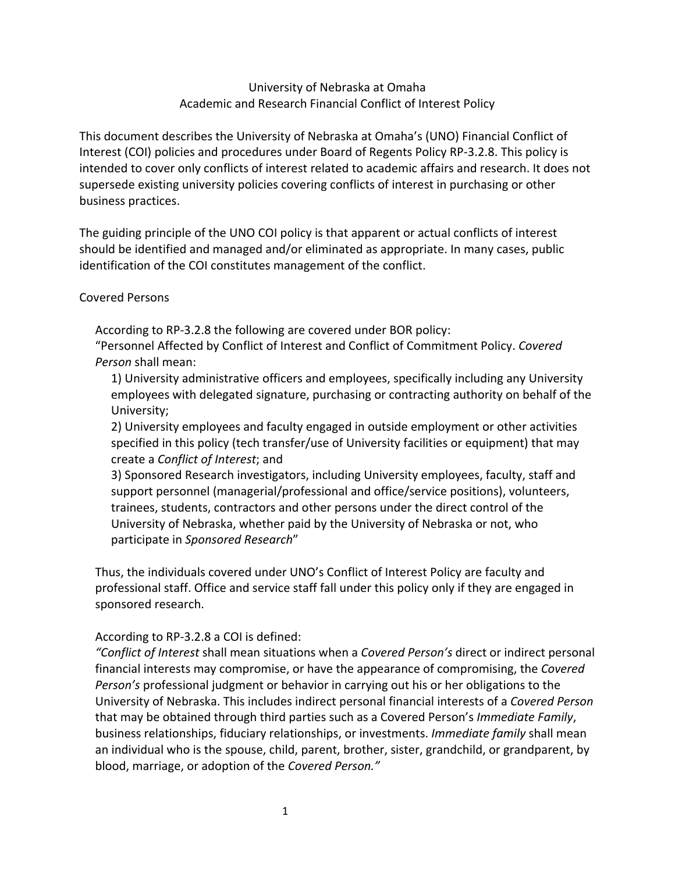## University of Nebraska at Omaha Academic and Research Financial Conflict of Interest Policy

This document describes the University of Nebraska at Omaha's (UNO) Financial Conflict of Interest (COI) policies and procedures under Board of Regents Policy RP‐3.2.8. This policy is intended to cover only conflicts of interest related to academic affairs and research. It does not supersede existing university policies covering conflicts of interest in purchasing or other business practices.

The guiding principle of the UNO COI policy is that apparent or actual conflicts of interest should be identified and managed and/or eliminated as appropriate. In many cases, public identification of the COI constitutes management of the conflict.

#### Covered Persons

According to RP‐3.2.8 the following are covered under BOR policy:

"Personnel Affected by Conflict of Interest and Conflict of Commitment Policy. *Covered Person* shall mean:

1) University administrative officers and employees, specifically including any University employees with delegated signature, purchasing or contracting authority on behalf of the University;

2) University employees and faculty engaged in outside employment or other activities specified in this policy (tech transfer/use of University facilities or equipment) that may create a *Conflict of Interest*; and

3) Sponsored Research investigators, including University employees, faculty, staff and support personnel (managerial/professional and office/service positions), volunteers, trainees, students, contractors and other persons under the direct control of the University of Nebraska, whether paid by the University of Nebraska or not, who participate in *Sponsored Research*"

Thus, the individuals covered under UNO's Conflict of Interest Policy are faculty and professional staff. Office and service staff fall under this policy only if they are engaged in sponsored research.

#### According to RP‐3.2.8 a COI is defined:

*"Conflict of Interest* shall mean situations when a *Covered Person's* direct or indirect personal financial interests may compromise, or have the appearance of compromising, the *Covered Person's* professional judgment or behavior in carrying out his or her obligations to the University of Nebraska. This includes indirect personal financial interests of a *Covered Person* that may be obtained through third parties such as a Covered Person's *Immediate Family*, business relationships, fiduciary relationships, or investments. *Immediate family* shall mean an individual who is the spouse, child, parent, brother, sister, grandchild, or grandparent, by blood, marriage, or adoption of the *Covered Person."*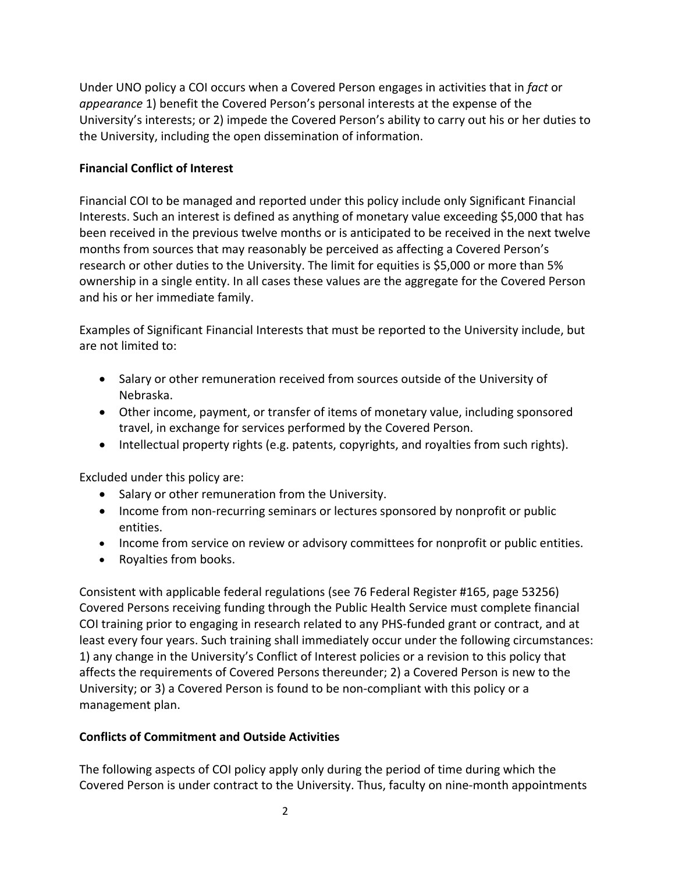Under UNO policy a COI occurs when a Covered Person engages in activities that in *fact* or *appearance* 1) benefit the Covered Person's personal interests at the expense of the University's interests; or 2) impede the Covered Person's ability to carry out his or her duties to the University, including the open dissemination of information.

## **Financial Conflict of Interest**

Financial COI to be managed and reported under this policy include only Significant Financial Interests. Such an interest is defined as anything of monetary value exceeding \$5,000 that has been received in the previous twelve months or is anticipated to be received in the next twelve months from sources that may reasonably be perceived as affecting a Covered Person's research or other duties to the University. The limit for equities is \$5,000 or more than 5% ownership in a single entity. In all cases these values are the aggregate for the Covered Person and his or her immediate family.

Examples of Significant Financial Interests that must be reported to the University include, but are not limited to:

- Salary or other remuneration received from sources outside of the University of Nebraska.
- Other income, payment, or transfer of items of monetary value, including sponsored travel, in exchange for services performed by the Covered Person.
- Intellectual property rights (e.g. patents, copyrights, and royalties from such rights).

Excluded under this policy are:

- Salary or other remuneration from the University.
- Income from non-recurring seminars or lectures sponsored by nonprofit or public entities.
- Income from service on review or advisory committees for nonprofit or public entities.
- Royalties from books.

Consistent with applicable federal regulations (see 76 Federal Register #165, page 53256) Covered Persons receiving funding through the Public Health Service must complete financial COI training prior to engaging in research related to any PHS‐funded grant or contract, and at least every four years. Such training shall immediately occur under the following circumstances: 1) any change in the University's Conflict of Interest policies or a revision to this policy that affects the requirements of Covered Persons thereunder; 2) a Covered Person is new to the University; or 3) a Covered Person is found to be non‐compliant with this policy or a management plan.

# **Conflicts of Commitment and Outside Activities**

The following aspects of COI policy apply only during the period of time during which the Covered Person is under contract to the University. Thus, faculty on nine‐month appointments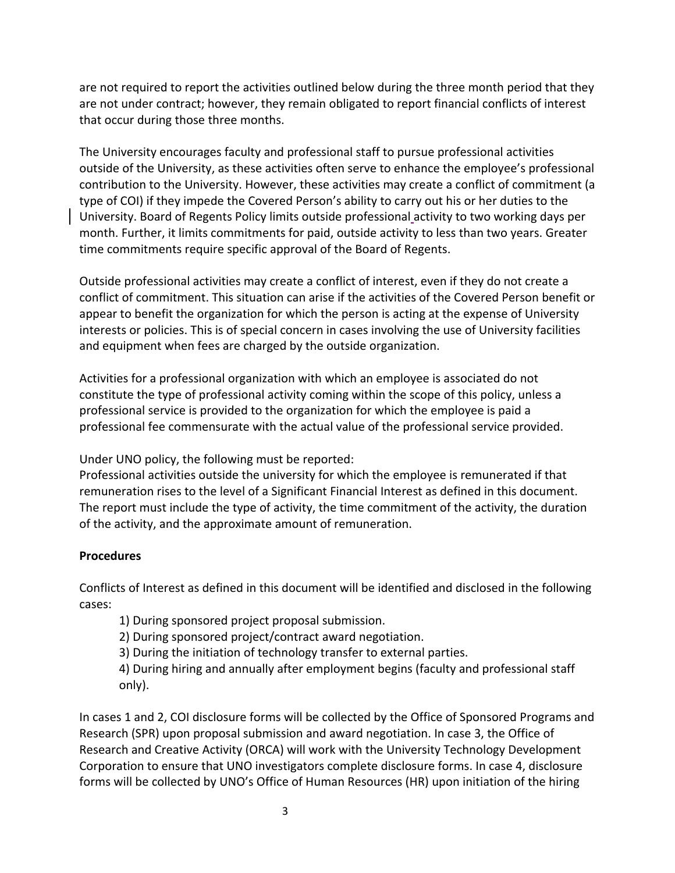are not required to report the activities outlined below during the three month period that they are not under contract; however, they remain obligated to report financial conflicts of interest that occur during those three months.

The University encourages faculty and professional staff to pursue professional activities outside of the University, as these activities often serve to enhance the employee's professional contribution to the University. However, these activities may create a conflict of commitment (a type of COI) if they impede the Covered Person's ability to carry out his or her duties to the University. Board of Regents Policy limits outside professional activity to two working days per month. Further, it limits commitments for paid, outside activity to less than two years. Greater time commitments require specific approval of the Board of Regents.

Outside professional activities may create a conflict of interest, even if they do not create a conflict of commitment. This situation can arise if the activities of the Covered Person benefit or appear to benefit the organization for which the person is acting at the expense of University interests or policies. This is of special concern in cases involving the use of University facilities and equipment when fees are charged by the outside organization.

Activities for a professional organization with which an employee is associated do not constitute the type of professional activity coming within the scope of this policy, unless a professional service is provided to the organization for which the employee is paid a professional fee commensurate with the actual value of the professional service provided.

Under UNO policy, the following must be reported:

Professional activities outside the university for which the employee is remunerated if that remuneration rises to the level of a Significant Financial Interest as defined in this document. The report must include the type of activity, the time commitment of the activity, the duration of the activity, and the approximate amount of remuneration.

# **Procedures**

Conflicts of Interest as defined in this document will be identified and disclosed in the following cases:

1) During sponsored project proposal submission.

2) During sponsored project/contract award negotiation.

3) During the initiation of technology transfer to external parties.

4) During hiring and annually after employment begins (faculty and professional staff only).

In cases 1 and 2, COI disclosure forms will be collected by the Office of Sponsored Programs and Research (SPR) upon proposal submission and award negotiation. In case 3, the Office of Research and Creative Activity (ORCA) will work with the University Technology Development Corporation to ensure that UNO investigators complete disclosure forms. In case 4, disclosure forms will be collected by UNO's Office of Human Resources (HR) upon initiation of the hiring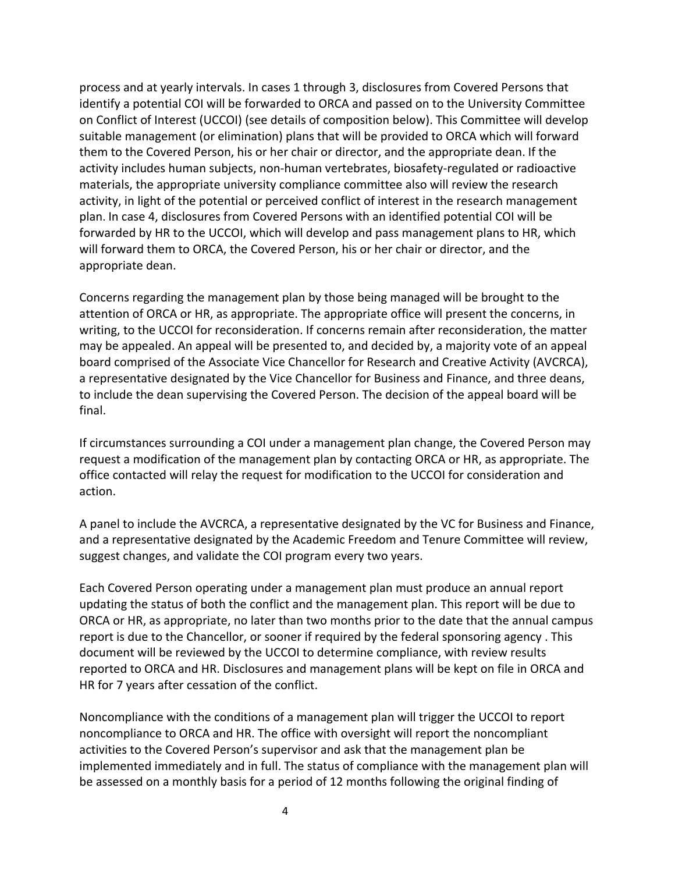process and at yearly intervals. In cases 1 through 3, disclosures from Covered Persons that identify a potential COI will be forwarded to ORCA and passed on to the University Committee on Conflict of Interest (UCCOI) (see details of composition below). This Committee will develop suitable management (or elimination) plans that will be provided to ORCA which will forward them to the Covered Person, his or her chair or director, and the appropriate dean. If the activity includes human subjects, non-human vertebrates, biosafety-regulated or radioactive materials, the appropriate university compliance committee also will review the research activity, in light of the potential or perceived conflict of interest in the research management plan. In case 4, disclosures from Covered Persons with an identified potential COI will be forwarded by HR to the UCCOI, which will develop and pass management plans to HR, which will forward them to ORCA, the Covered Person, his or her chair or director, and the appropriate dean.

Concerns regarding the management plan by those being managed will be brought to the attention of ORCA or HR, as appropriate. The appropriate office will present the concerns, in writing, to the UCCOI for reconsideration. If concerns remain after reconsideration, the matter may be appealed. An appeal will be presented to, and decided by, a majority vote of an appeal board comprised of the Associate Vice Chancellor for Research and Creative Activity (AVCRCA), a representative designated by the Vice Chancellor for Business and Finance, and three deans, to include the dean supervising the Covered Person. The decision of the appeal board will be final.

If circumstances surrounding a COI under a management plan change, the Covered Person may request a modification of the management plan by contacting ORCA or HR, as appropriate. The office contacted will relay the request for modification to the UCCOI for consideration and action.

A panel to include the AVCRCA, a representative designated by the VC for Business and Finance, and a representative designated by the Academic Freedom and Tenure Committee will review, suggest changes, and validate the COI program every two years.

Each Covered Person operating under a management plan must produce an annual report updating the status of both the conflict and the management plan. This report will be due to ORCA or HR, as appropriate, no later than two months prior to the date that the annual campus report is due to the Chancellor, or sooner if required by the federal sponsoring agency . This document will be reviewed by the UCCOI to determine compliance, with review results reported to ORCA and HR. Disclosures and management plans will be kept on file in ORCA and HR for 7 years after cessation of the conflict.

Noncompliance with the conditions of a management plan will trigger the UCCOI to report noncompliance to ORCA and HR. The office with oversight will report the noncompliant activities to the Covered Person's supervisor and ask that the management plan be implemented immediately and in full. The status of compliance with the management plan will be assessed on a monthly basis for a period of 12 months following the original finding of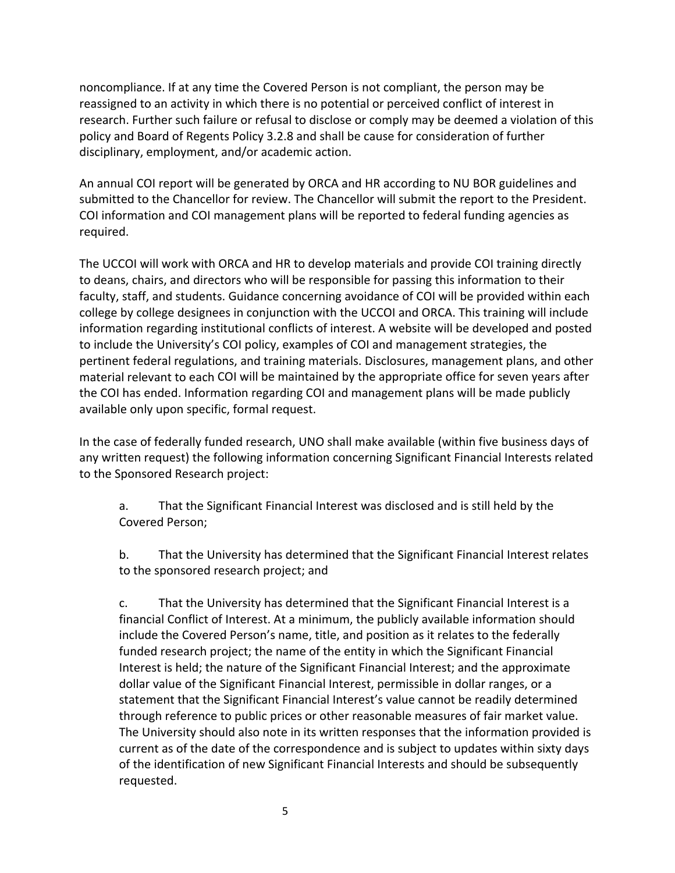noncompliance. If at any time the Covered Person is not compliant, the person may be reassigned to an activity in which there is no potential or perceived conflict of interest in research. Further such failure or refusal to disclose or comply may be deemed a violation of this policy and Board of Regents Policy 3.2.8 and shall be cause for consideration of further disciplinary, employment, and/or academic action.

An annual COI report will be generated by ORCA and HR according to NU BOR guidelines and submitted to the Chancellor for review. The Chancellor will submit the report to the President. COI information and COI management plans will be reported to federal funding agencies as required.

The UCCOI will work with ORCA and HR to develop materials and provide COI training directly to deans, chairs, and directors who will be responsible for passing this information to their faculty, staff, and students. Guidance concerning avoidance of COI will be provided within each college by college designees in conjunction with the UCCOI and ORCA. This training will include information regarding institutional conflicts of interest. A website will be developed and posted to include the University's COI policy, examples of COI and management strategies, the pertinent federal regulations, and training materials. Disclosures, management plans, and other material relevant to each COI will be maintained by the appropriate office for seven years after the COI has ended. Information regarding COI and management plans will be made publicly available only upon specific, formal request.

In the case of federally funded research, UNO shall make available (within five business days of any written request) the following information concerning Significant Financial Interests related to the Sponsored Research project:

a. That the Significant Financial Interest was disclosed and is still held by the Covered Person;

b. That the University has determined that the Significant Financial Interest relates to the sponsored research project; and

c. That the University has determined that the Significant Financial Interest is a financial Conflict of Interest. At a minimum, the publicly available information should include the Covered Person's name, title, and position as it relates to the federally funded research project; the name of the entity in which the Significant Financial Interest is held; the nature of the Significant Financial Interest; and the approximate dollar value of the Significant Financial Interest, permissible in dollar ranges, or a statement that the Significant Financial Interest's value cannot be readily determined through reference to public prices or other reasonable measures of fair market value. The University should also note in its written responses that the information provided is current as of the date of the correspondence and is subject to updates within sixty days of the identification of new Significant Financial Interests and should be subsequently requested.